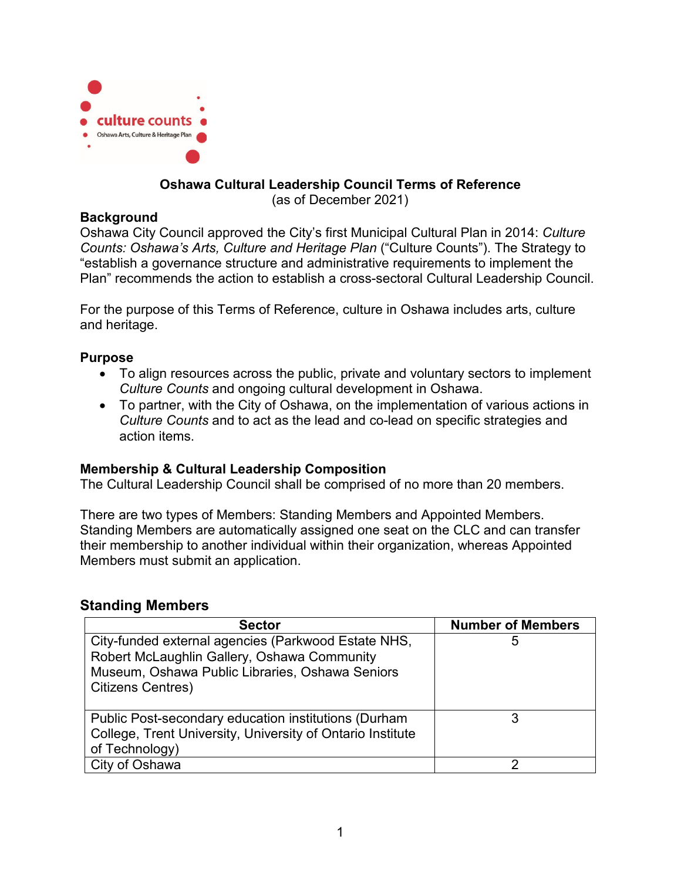

### **Oshawa Cultural Leadership Council Terms of Reference**

(as of December 2021)

### **Background**

Oshawa City Council approved the City's first Municipal Cultural Plan in 2014: *Culture Counts: Oshawa's Arts, Culture and Heritage Plan* ("Culture Counts"). The Strategy to "establish a governance structure and administrative requirements to implement the Plan" recommends the action to establish a cross-sectoral Cultural Leadership Council.

For the purpose of this Terms of Reference, culture in Oshawa includes arts, culture and heritage.

### **Purpose**

- To align resources across the public, private and voluntary sectors to implement *Culture Counts* and ongoing cultural development in Oshawa.
- To partner, with the City of Oshawa, on the implementation of various actions in *Culture Counts* and to act as the lead and co-lead on specific strategies and action items.

### **Membership & Cultural Leadership Composition**

The Cultural Leadership Council shall be comprised of no more than 20 members.

There are two types of Members: Standing Members and Appointed Members. Standing Members are automatically assigned one seat on the CLC and can transfer their membership to another individual within their organization, whereas Appointed Members must submit an application.

# **Standing Members**

| <b>Sector</b>                                                                                                                                                                     | <b>Number of Members</b> |
|-----------------------------------------------------------------------------------------------------------------------------------------------------------------------------------|--------------------------|
| City-funded external agencies (Parkwood Estate NHS,<br>Robert McLaughlin Gallery, Oshawa Community<br>Museum, Oshawa Public Libraries, Oshawa Seniors<br><b>Citizens Centres)</b> | $\mathbf b$              |
| Public Post-secondary education institutions (Durham<br>College, Trent University, University of Ontario Institute<br>of Technology)                                              |                          |
| City of Oshawa                                                                                                                                                                    |                          |